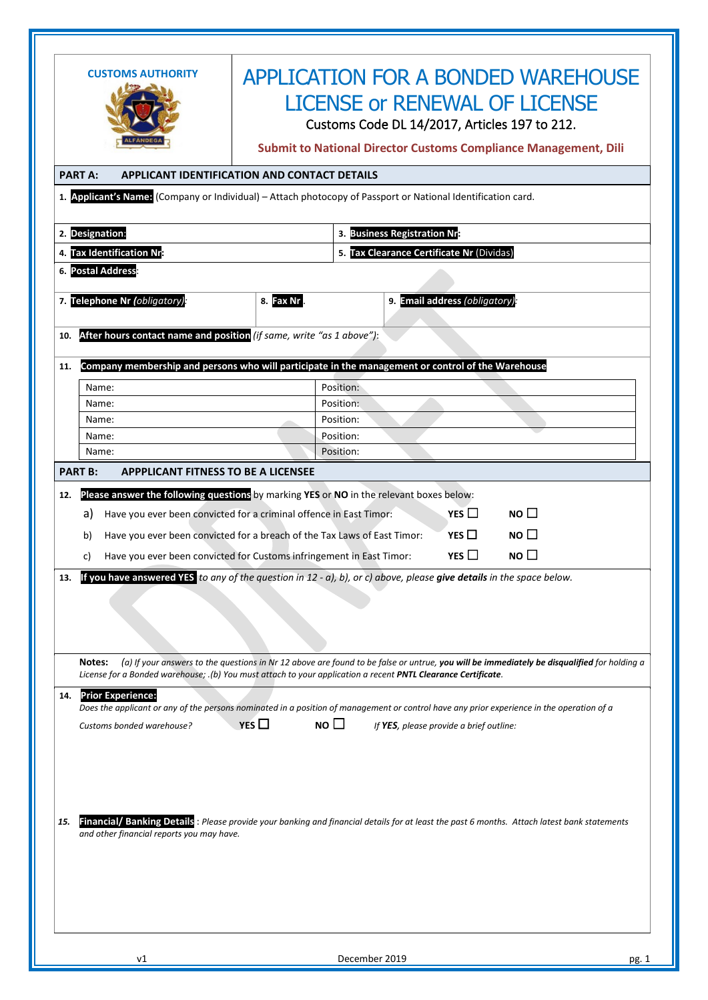|     | <b>APPLICATION FOR A BONDED WAREHOUSE</b><br><b>CUSTOMS AUTHORITY</b>                                                                       |                                                     |                                           |                                                                                                                                            |  |  |  |  |  |
|-----|---------------------------------------------------------------------------------------------------------------------------------------------|-----------------------------------------------------|-------------------------------------------|--------------------------------------------------------------------------------------------------------------------------------------------|--|--|--|--|--|
|     |                                                                                                                                             |                                                     | <b>LICENSE or RENEWAL OF LICENSE</b>      |                                                                                                                                            |  |  |  |  |  |
|     |                                                                                                                                             |                                                     |                                           | Customs Code DL 14/2017, Articles 197 to 212.                                                                                              |  |  |  |  |  |
|     |                                                                                                                                             |                                                     |                                           |                                                                                                                                            |  |  |  |  |  |
|     | <b>Submit to National Director Customs Compliance Management, Dili</b>                                                                      |                                                     |                                           |                                                                                                                                            |  |  |  |  |  |
|     | <b>PART A:</b>                                                                                                                              | <b>APPLICANT IDENTIFICATION AND CONTACT DETAILS</b> |                                           |                                                                                                                                            |  |  |  |  |  |
|     | 1. Applicant's Name: (Company or Individual) - Attach photocopy of Passport or National Identification card.                                |                                                     |                                           |                                                                                                                                            |  |  |  |  |  |
|     |                                                                                                                                             |                                                     |                                           |                                                                                                                                            |  |  |  |  |  |
|     | 2. Designation:                                                                                                                             |                                                     | 3. Business Registration Nr:              |                                                                                                                                            |  |  |  |  |  |
|     | 4. Tax Identification Nr:                                                                                                                   |                                                     | 5. Tax Clearance Certificate Nr (Dividas) |                                                                                                                                            |  |  |  |  |  |
|     | 6. Postal Address                                                                                                                           |                                                     |                                           |                                                                                                                                            |  |  |  |  |  |
|     | 7. Telephone Nr (obligatory):                                                                                                               | 8. Fax Nr                                           | 9. Email address (obligatory).            |                                                                                                                                            |  |  |  |  |  |
|     |                                                                                                                                             |                                                     |                                           |                                                                                                                                            |  |  |  |  |  |
| 10. | After hours contact name and position (if same, write "as 1 above"):                                                                        |                                                     |                                           |                                                                                                                                            |  |  |  |  |  |
| 11. | Company membership and persons who will participate in the management or control of the Warehouse                                           |                                                     |                                           |                                                                                                                                            |  |  |  |  |  |
|     | Name:                                                                                                                                       |                                                     | Position:                                 |                                                                                                                                            |  |  |  |  |  |
|     | Name:                                                                                                                                       |                                                     | Position:                                 |                                                                                                                                            |  |  |  |  |  |
|     | Name:                                                                                                                                       |                                                     | Position:                                 |                                                                                                                                            |  |  |  |  |  |
|     | Name:                                                                                                                                       |                                                     | Position:                                 |                                                                                                                                            |  |  |  |  |  |
|     | Name:                                                                                                                                       |                                                     | Position:                                 |                                                                                                                                            |  |  |  |  |  |
|     | <b>PART B:</b><br><b>APPPLICANT FITNESS TO BE A LICENSEE</b>                                                                                |                                                     |                                           |                                                                                                                                            |  |  |  |  |  |
| 12. | Please answer the following questions by marking YES or NO in the relevant boxes below:                                                     |                                                     |                                           |                                                                                                                                            |  |  |  |  |  |
|     | Have you ever been convicted for a criminal offence in East Timor:<br>a)                                                                    |                                                     |                                           | YES $\Box$<br>NO $\square$                                                                                                                 |  |  |  |  |  |
|     | Have you ever been convicted for a breach of the Tax Laws of East Timor:<br>b)                                                              |                                                     |                                           | YES $\Box$<br>NO                                                                                                                           |  |  |  |  |  |
|     | Have you ever been convicted for Customs infringement in East Timor:<br>C)                                                                  |                                                     |                                           | YES $\square$<br>NO <sub>1</sub>                                                                                                           |  |  |  |  |  |
|     |                                                                                                                                             |                                                     |                                           |                                                                                                                                            |  |  |  |  |  |
|     | If you have answered YES to any of the question in 12 - a), b), or c) above, please give details in the space below.                        |                                                     |                                           |                                                                                                                                            |  |  |  |  |  |
|     |                                                                                                                                             |                                                     |                                           |                                                                                                                                            |  |  |  |  |  |
|     |                                                                                                                                             |                                                     |                                           |                                                                                                                                            |  |  |  |  |  |
|     |                                                                                                                                             |                                                     |                                           |                                                                                                                                            |  |  |  |  |  |
|     | Notes:<br>License for a Bonded warehouse; .(b) You must attach to your application a recent PNTL Clearance Certificate.                     |                                                     |                                           | (a) If your answers to the questions in Nr 12 above are found to be false or untrue, you will be immediately be disqualified for holding a |  |  |  |  |  |
| 14. | <b>Prior Experience:</b>                                                                                                                    |                                                     |                                           |                                                                                                                                            |  |  |  |  |  |
|     |                                                                                                                                             | YES $\Box$                                          |                                           | Does the applicant or any of the persons nominated in a position of management or control have any prior experience in the operation of a  |  |  |  |  |  |
|     | NO $\square$<br>Customs bonded warehouse?<br>If YES, please provide a brief outline:                                                        |                                                     |                                           |                                                                                                                                            |  |  |  |  |  |
|     |                                                                                                                                             |                                                     |                                           |                                                                                                                                            |  |  |  |  |  |
|     |                                                                                                                                             |                                                     |                                           |                                                                                                                                            |  |  |  |  |  |
|     |                                                                                                                                             |                                                     |                                           |                                                                                                                                            |  |  |  |  |  |
|     | Financial/ Banking Details: Please provide your banking and financial details for at least the past 6 months. Attach latest bank statements |                                                     |                                           |                                                                                                                                            |  |  |  |  |  |
| 15. | and other financial reports you may have.                                                                                                   |                                                     |                                           |                                                                                                                                            |  |  |  |  |  |
|     |                                                                                                                                             |                                                     |                                           |                                                                                                                                            |  |  |  |  |  |
|     |                                                                                                                                             |                                                     |                                           |                                                                                                                                            |  |  |  |  |  |
|     |                                                                                                                                             |                                                     |                                           |                                                                                                                                            |  |  |  |  |  |
|     |                                                                                                                                             |                                                     |                                           |                                                                                                                                            |  |  |  |  |  |
|     |                                                                                                                                             |                                                     |                                           |                                                                                                                                            |  |  |  |  |  |
|     |                                                                                                                                             |                                                     |                                           |                                                                                                                                            |  |  |  |  |  |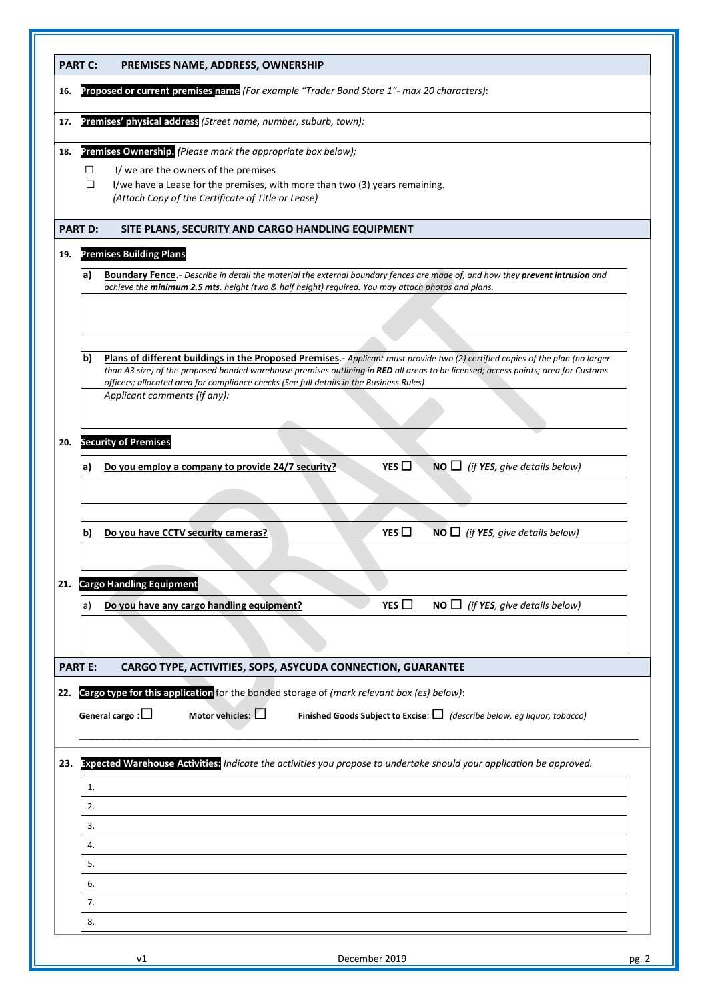|     | <b>PART C:</b>                 | PREMISES NAME, ADDRESS, OWNERSHIP                                                                                                                                                                                                                                                                                                                                                               |       |  |  |  |  |  |
|-----|--------------------------------|-------------------------------------------------------------------------------------------------------------------------------------------------------------------------------------------------------------------------------------------------------------------------------------------------------------------------------------------------------------------------------------------------|-------|--|--|--|--|--|
| 16. |                                | Proposed or current premises name (For example "Trader Bond Store 1"- max 20 characters):                                                                                                                                                                                                                                                                                                       |       |  |  |  |  |  |
| 17. |                                | Premises' physical address (Street name, number, suburb, town):                                                                                                                                                                                                                                                                                                                                 |       |  |  |  |  |  |
| 18. | $\Box$<br>□                    | Premises Ownership. (Please mark the appropriate box below);<br>I/ we are the owners of the premises<br>I/we have a Lease for the premises, with more than two (3) years remaining.<br>(Attach Copy of the Certificate of Title or Lease)                                                                                                                                                       |       |  |  |  |  |  |
|     | <b>PART D:</b>                 | SITE PLANS, SECURITY AND CARGO HANDLING EQUIPMENT                                                                                                                                                                                                                                                                                                                                               |       |  |  |  |  |  |
| 19. | <b>Premises Building Plans</b> |                                                                                                                                                                                                                                                                                                                                                                                                 |       |  |  |  |  |  |
|     | a)                             | <b>Boundary Fence</b> .- Describe in detail the material the external boundary fences are made of, and how they prevent intrusion and<br>achieve the minimum 2.5 mts. height (two & half height) required. You may attach photos and plans.                                                                                                                                                     |       |  |  |  |  |  |
|     |                                |                                                                                                                                                                                                                                                                                                                                                                                                 |       |  |  |  |  |  |
|     |                                |                                                                                                                                                                                                                                                                                                                                                                                                 |       |  |  |  |  |  |
|     | b)                             | Plans of different buildings in the Proposed Premises.- Applicant must provide two (2) certified copies of the plan (no larger<br>than A3 size) of the proposed bonded warehouse premises outlining in RED all areas to be licensed; access points; area for Customs<br>officers; allocated area for compliance checks (See full details in the Business Rules)<br>Applicant comments (if any): |       |  |  |  |  |  |
| 20. |                                | <b>Security of Premises</b>                                                                                                                                                                                                                                                                                                                                                                     |       |  |  |  |  |  |
|     | a)                             | YES $\Box$<br>$NO \Box$ (if YES, give details below)<br>Do you employ a company to provide 24/7 security?                                                                                                                                                                                                                                                                                       |       |  |  |  |  |  |
|     |                                |                                                                                                                                                                                                                                                                                                                                                                                                 |       |  |  |  |  |  |
|     | b)                             | YES $\Box$<br>$NO \Box$ (if YES, give details below)<br>Do you have CCTV security cameras?                                                                                                                                                                                                                                                                                                      |       |  |  |  |  |  |
| 21. |                                | <b>Cargo Handling Equipment</b>                                                                                                                                                                                                                                                                                                                                                                 |       |  |  |  |  |  |
|     | a)                             | YES $\square$<br>Do you have any cargo handling equipment?<br><b>NO</b> $\Box$ (if <b>YES</b> , give details below)                                                                                                                                                                                                                                                                             |       |  |  |  |  |  |
|     |                                |                                                                                                                                                                                                                                                                                                                                                                                                 |       |  |  |  |  |  |
|     | <b>PART E:</b>                 | CARGO TYPE, ACTIVITIES, SOPS, ASYCUDA CONNECTION, GUARANTEE                                                                                                                                                                                                                                                                                                                                     |       |  |  |  |  |  |
| 22. |                                | Cargo type for this application for the bonded storage of (mark relevant box (es) below):                                                                                                                                                                                                                                                                                                       |       |  |  |  |  |  |
|     |                                | Motor vehicles: $\square$<br>Finished Goods Subject to Excise: $\Box$ (describe below, eg liquor, tobacco)<br>General cargo : $\Box$                                                                                                                                                                                                                                                            |       |  |  |  |  |  |
| 23. |                                | Expected Warehouse Activities: Indicate the activities you propose to undertake should your application be approved.                                                                                                                                                                                                                                                                            |       |  |  |  |  |  |
|     | 1.                             |                                                                                                                                                                                                                                                                                                                                                                                                 |       |  |  |  |  |  |
|     | 2.                             |                                                                                                                                                                                                                                                                                                                                                                                                 |       |  |  |  |  |  |
|     | 3.                             |                                                                                                                                                                                                                                                                                                                                                                                                 |       |  |  |  |  |  |
|     | 4.                             |                                                                                                                                                                                                                                                                                                                                                                                                 |       |  |  |  |  |  |
|     | 5.                             |                                                                                                                                                                                                                                                                                                                                                                                                 |       |  |  |  |  |  |
|     | 6.                             |                                                                                                                                                                                                                                                                                                                                                                                                 |       |  |  |  |  |  |
|     | 7.                             |                                                                                                                                                                                                                                                                                                                                                                                                 |       |  |  |  |  |  |
|     | 8.                             |                                                                                                                                                                                                                                                                                                                                                                                                 |       |  |  |  |  |  |
|     |                                | December 2019<br>ν1                                                                                                                                                                                                                                                                                                                                                                             | pg. 2 |  |  |  |  |  |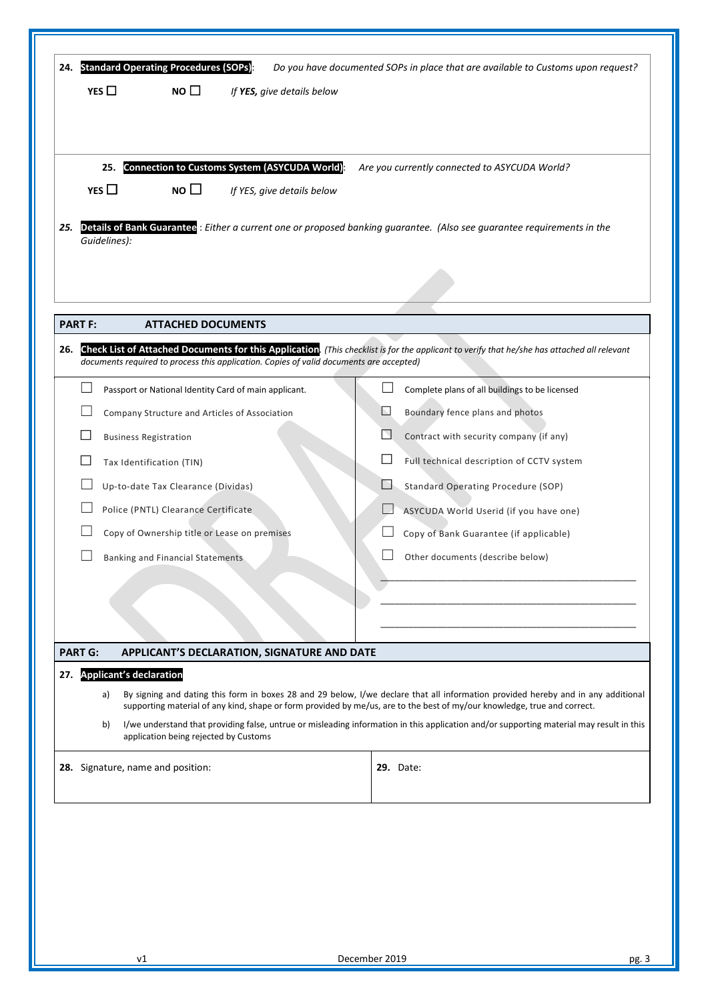|     |                                                                                                                                                                                                                                                                     | 24. Standard Operating Procedures (SOPs): |                                                       |  |   | Do you have documented SOPs in place that are available to Customs upon request?                                                         |  |
|-----|---------------------------------------------------------------------------------------------------------------------------------------------------------------------------------------------------------------------------------------------------------------------|-------------------------------------------|-------------------------------------------------------|--|---|------------------------------------------------------------------------------------------------------------------------------------------|--|
|     | YES $\Box$                                                                                                                                                                                                                                                          | NO $\square$                              | If YES, give details below                            |  |   |                                                                                                                                          |  |
|     |                                                                                                                                                                                                                                                                     |                                           |                                                       |  |   |                                                                                                                                          |  |
|     | 25.                                                                                                                                                                                                                                                                 |                                           | Connection to Customs System (ASYCUDA World):         |  |   | Are you currently connected to ASYCUDA World?                                                                                            |  |
|     | YES $\Box$                                                                                                                                                                                                                                                          | $NO$ $\Box$                               | If YES, give details below                            |  |   |                                                                                                                                          |  |
| 25. | Guidelines):                                                                                                                                                                                                                                                        |                                           |                                                       |  |   | Details of Bank Guarantee: Either a current one or proposed banking guarantee. (Also see guarantee requirements in the                   |  |
|     |                                                                                                                                                                                                                                                                     |                                           |                                                       |  |   |                                                                                                                                          |  |
|     | <b>PART F:</b>                                                                                                                                                                                                                                                      | <b>ATTACHED DOCUMENTS</b>                 |                                                       |  |   |                                                                                                                                          |  |
| 26. | Check List of Attached Documents for this Application. (This checklist is for the applicant to verify that he/she has attached all relevant<br>documents required to process this application. Copies of valid documents are accepted)                              |                                           |                                                       |  |   |                                                                                                                                          |  |
|     |                                                                                                                                                                                                                                                                     |                                           | Passport or National Identity Card of main applicant. |  |   | Complete plans of all buildings to be licensed                                                                                           |  |
|     |                                                                                                                                                                                                                                                                     |                                           | Company Structure and Articles of Association         |  | ⊾ | Boundary fence plans and photos                                                                                                          |  |
|     | <b>Business Registration</b>                                                                                                                                                                                                                                        |                                           |                                                       |  | N | Contract with security company (if any)                                                                                                  |  |
|     |                                                                                                                                                                                                                                                                     | Tax Identification (TIN)                  |                                                       |  |   | Full technical description of CCTV system                                                                                                |  |
|     |                                                                                                                                                                                                                                                                     | Up-to-date Tax Clearance (Dividas)        |                                                       |  | H | <b>Standard Operating Procedure (SOP)</b>                                                                                                |  |
|     |                                                                                                                                                                                                                                                                     | Police (PNTL) Clearance Certificate       |                                                       |  |   | ASYCUDA World Userid (if you have one)                                                                                                   |  |
|     |                                                                                                                                                                                                                                                                     |                                           | Copy of Ownership title or Lease on premises          |  |   | Copy of Bank Guarantee (if applicable)                                                                                                   |  |
|     |                                                                                                                                                                                                                                                                     | Banking and Financial Statements          |                                                       |  |   | Other documents (describe below)                                                                                                         |  |
|     |                                                                                                                                                                                                                                                                     |                                           |                                                       |  |   |                                                                                                                                          |  |
|     |                                                                                                                                                                                                                                                                     |                                           |                                                       |  |   |                                                                                                                                          |  |
|     |                                                                                                                                                                                                                                                                     |                                           |                                                       |  |   |                                                                                                                                          |  |
|     | <b>PART G:</b>                                                                                                                                                                                                                                                      |                                           | APPLICANT'S DECLARATION, SIGNATURE AND DATE           |  |   |                                                                                                                                          |  |
| 27. | <b>Applicant's declaration</b>                                                                                                                                                                                                                                      |                                           |                                                       |  |   |                                                                                                                                          |  |
|     | By signing and dating this form in boxes 28 and 29 below, I/we declare that all information provided hereby and in any additional<br>a)<br>supporting material of any kind, shape or form provided by me/us, are to the best of my/our knowledge, true and correct. |                                           |                                                       |  |   |                                                                                                                                          |  |
|     | b)                                                                                                                                                                                                                                                                  | application being rejected by Customs     |                                                       |  |   | I/we understand that providing false, untrue or misleading information in this application and/or supporting material may result in this |  |
|     | 28. Signature, name and position:                                                                                                                                                                                                                                   |                                           |                                                       |  |   | <b>29.</b> Date:                                                                                                                         |  |
|     |                                                                                                                                                                                                                                                                     |                                           |                                                       |  |   |                                                                                                                                          |  |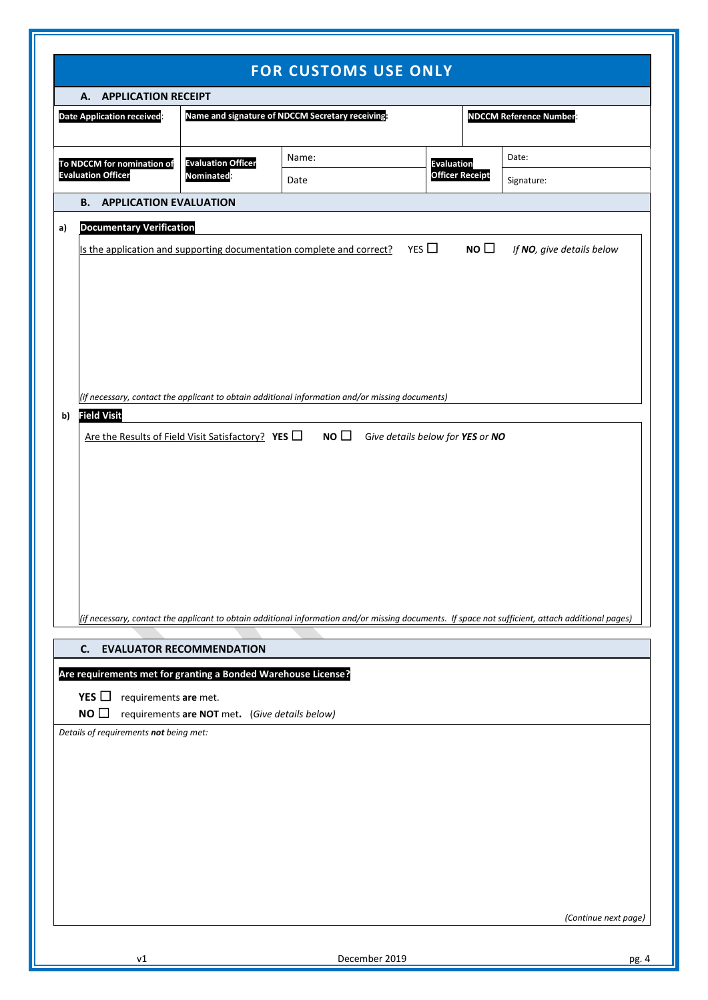| <b>FOR CUSTOMS USE ONLY</b>       |                                                                                                                                                                                                                                                                                                                                                                 |                                                |       |                        |            |  |  |  |
|-----------------------------------|-----------------------------------------------------------------------------------------------------------------------------------------------------------------------------------------------------------------------------------------------------------------------------------------------------------------------------------------------------------------|------------------------------------------------|-------|------------------------|------------|--|--|--|
|                                   | A. APPLICATION RECEIPT                                                                                                                                                                                                                                                                                                                                          |                                                |       |                        |            |  |  |  |
| <b>Date Application received:</b> | <b>NDCCM Reference Number</b>                                                                                                                                                                                                                                                                                                                                   |                                                |       |                        |            |  |  |  |
| To NDCCM for nomination of        |                                                                                                                                                                                                                                                                                                                                                                 | <b>Evaluation Officer</b>                      | Name: | <b>Evaluation</b>      | Date:      |  |  |  |
|                                   | <b>Evaluation Officer</b>                                                                                                                                                                                                                                                                                                                                       | Nominated:                                     | Date  | <b>Officer Receipt</b> | Signature: |  |  |  |
|                                   | <b>B. APPLICATION EVALUATION</b>                                                                                                                                                                                                                                                                                                                                |                                                |       |                        |            |  |  |  |
| a)                                | <b>Documentary Verification</b>                                                                                                                                                                                                                                                                                                                                 |                                                |       |                        |            |  |  |  |
| b)                                | YES $\Box$<br>NO $\square$<br>If NO, give details below<br>Is the application and supporting documentation complete and correct?<br>(if necessary, contact the applicant to obtain additional information and/or missing documents)<br><b>Field Visit</b><br>Are the Results of Field Visit Satisfactory? YES $\Box$ NO $\Box$ Give details below for YES or NO |                                                |       |                        |            |  |  |  |
|                                   | C.                                                                                                                                                                                                                                                                                                                                                              | <b>EVALUATOR RECOMMENDATION</b>                |       |                        |            |  |  |  |
|                                   | Are requirements met for granting a Bonded Warehouse License?<br>YES $\Box$<br>requirements are met.<br>NO $\square$<br>Details of requirements not being met:                                                                                                                                                                                                  | requirements are NOT met. (Give details below) |       |                        |            |  |  |  |
|                                   | (Continue next page)                                                                                                                                                                                                                                                                                                                                            |                                                |       |                        |            |  |  |  |